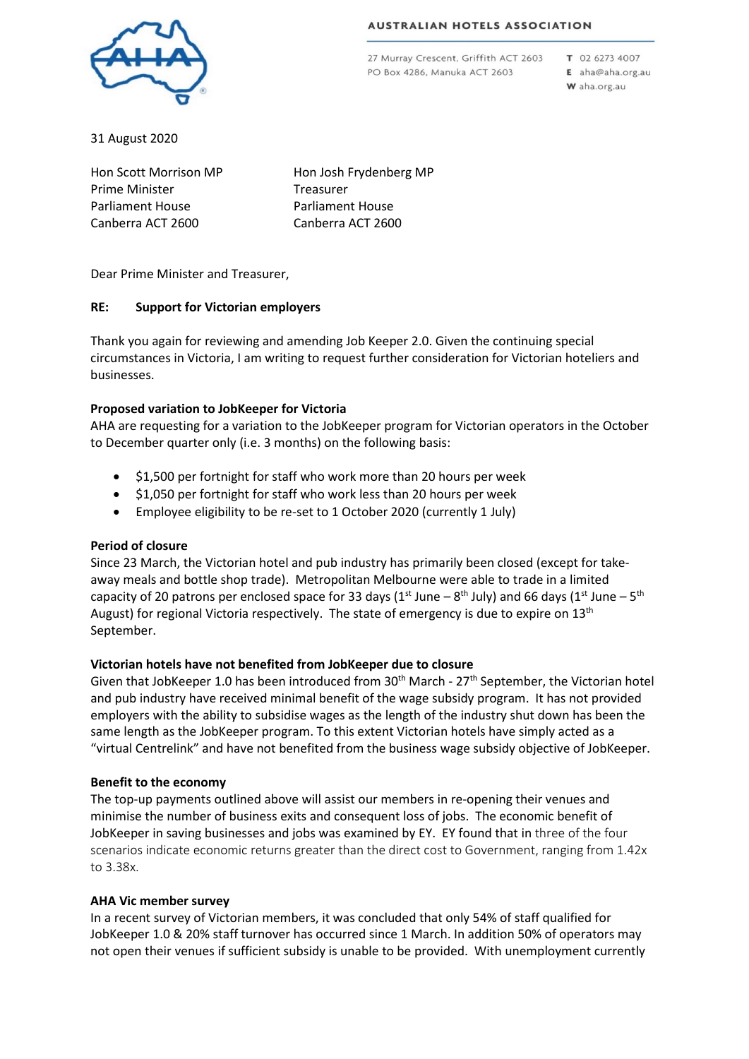#### **AUSTRALIAN HOTELS ASSOCIATION**



27 Murray Crescent, Griffith ACT 2603 PO Box 4286, Manuka ACT 2603

T 02 6273 4007 E aha@aha.org.au W aha.org.au

31 August 2020

Hon Scott Morrison MP Prime Minister Parliament House Canberra ACT 2600

Hon Josh Frydenberg MP Treasurer Parliament House Canberra ACT 2600

Dear Prime Minister and Treasurer,

# **RE: Support for Victorian employers**

Thank you again for reviewing and amending Job Keeper 2.0. Given the continuing special circumstances in Victoria, I am writing to request further consideration for Victorian hoteliers and businesses.

# **Proposed variation to JobKeeper for Victoria**

AHA are requesting for a variation to the JobKeeper program for Victorian operators in the October to December quarter only (i.e. 3 months) on the following basis:

- \$1,500 per fortnight for staff who work more than 20 hours per week
- \$1,050 per fortnight for staff who work less than 20 hours per week
- Employee eligibility to be re-set to 1 October 2020 (currently 1 July)

### **Period of closure**

Since 23 March, the Victorian hotel and pub industry has primarily been closed (except for takeaway meals and bottle shop trade). Metropolitan Melbourne were able to trade in a limited capacity of 20 patrons per enclosed space for 33 days ( $1^{st}$  June –  $8^{th}$  July) and 66 days ( $1^{st}$  June –  $5^{th}$ August) for regional Victoria respectively. The state of emergency is due to expire on  $13<sup>th</sup>$ September.

### **Victorian hotels have not benefited from JobKeeper due to closure**

Given that JobKeeper 1.0 has been introduced from 30<sup>th</sup> March - 27<sup>th</sup> September, the Victorian hotel and pub industry have received minimal benefit of the wage subsidy program. It has not provided employers with the ability to subsidise wages as the length of the industry shut down has been the same length as the JobKeeper program. To this extent Victorian hotels have simply acted as a "virtual Centrelink" and have not benefited from the business wage subsidy objective of JobKeeper.

### **Benefit to the economy**

The top-up payments outlined above will assist our members in re-opening their venues and minimise the number of business exits and consequent loss of jobs. The economic benefit of JobKeeper in saving businesses and jobs was examined by EY. EY found that in three of the four scenarios indicate economic returns greater than the direct cost to Government, ranging from 1.42x to 3.38x.

### **AHA Vic member survey**

In a recent survey of Victorian members, it was concluded that only 54% of staff qualified for JobKeeper 1.0 & 20% staff turnover has occurred since 1 March. In addition 50% of operators may not open their venues if sufficient subsidy is unable to be provided. With unemployment currently